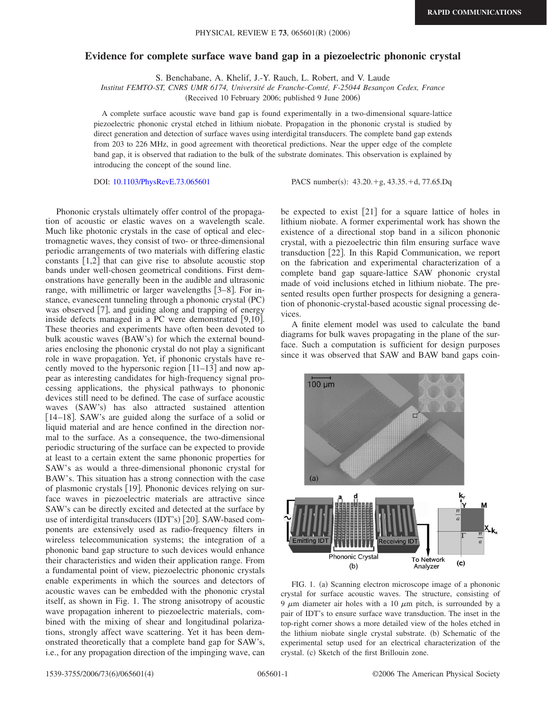## **Evidence for complete surface wave band gap in a piezoelectric phononic crystal**

S. Benchabane, A. Khelif, J.-Y. Rauch, L. Robert, and V. Laude

*Institut FEMTO-ST, CNRS UMR 6174, Université de Franche-Comté, F-25044 Besançon Cedex, France*

(Received 10 February 2006; published 9 June 2006)

A complete surface acoustic wave band gap is found experimentally in a two-dimensional square-lattice piezoelectric phononic crystal etched in lithium niobate. Propagation in the phononic crystal is studied by direct generation and detection of surface waves using interdigital transducers. The complete band gap extends from 203 to 226 MHz, in good agreement with theoretical predictions. Near the upper edge of the complete band gap, it is observed that radiation to the bulk of the substrate dominates. This observation is explained by introducing the concept of the sound line.

DOI: [10.1103/PhysRevE.73.065601](http://dx.doi.org/10.1103/PhysRevE.73.065601)

PACS number(s):  $43.20.+g$ ,  $43.35.+d$ ,  $77.65.Dq$ 

Phononic crystals ultimately offer control of the propagation of acoustic or elastic waves on a wavelength scale. Much like photonic crystals in the case of optical and electromagnetic waves, they consist of two- or three-dimensional periodic arrangements of two materials with differing elastic constants  $[1,2]$  that can give rise to absolute acoustic stop bands under well-chosen geometrical conditions. First demonstrations have generally been in the audible and ultrasonic range, with millimetric or larger wavelengths  $[3-8]$ . For instance, evanescent tunneling through a phononic crystal (PC) was observed [7], and guiding along and trapping of energy inside defects managed in a PC were demonstrated  $[9,10]$ . These theories and experiments have often been devoted to bulk acoustic waves (BAW's) for which the external boundaries enclosing the phononic crystal do not play a significant role in wave propagation. Yet, if phononic crystals have recently moved to the hypersonic region  $[11-13]$  and now appear as interesting candidates for high-frequency signal processing applications, the physical pathways to phononic devices still need to be defined. The case of surface acoustic waves (SAW's) has also attracted sustained attention [14–18]. SAW's are guided along the surface of a solid or liquid material and are hence confined in the direction normal to the surface. As a consequence, the two-dimensional periodic structuring of the surface can be expected to provide at least to a certain extent the same phononic properties for SAW's as would a three-dimensional phononic crystal for BAW's. This situation has a strong connection with the case of plasmonic crystals [19]. Phononic devices relying on surface waves in piezoelectric materials are attractive since SAW's can be directly excited and detected at the surface by use of interdigital transducers (IDT's) [20]. SAW-based components are extensively used as radio-frequency filters in wireless telecommunication systems; the integration of a phononic band gap structure to such devices would enhance their characteristics and widen their application range. From a fundamental point of view, piezoelectric phononic crystals enable experiments in which the sources and detectors of acoustic waves can be embedded with the phononic crystal itself, as shown in Fig. 1. The strong anisotropy of acoustic wave propagation inherent to piezoelectric materials, combined with the mixing of shear and longitudinal polarizations, strongly affect wave scattering. Yet it has been demonstrated theoretically that a complete band gap for SAW's, i.e., for any propagation direction of the impinging wave, can

be expected to exist  $[21]$  for a square lattice of holes in lithium niobate. A former experimental work has shown the existence of a directional stop band in a silicon phononic crystal, with a piezoelectric thin film ensuring surface wave transduction [22]. In this Rapid Communication, we report on the fabrication and experimental characterization of a complete band gap square-lattice SAW phononic crystal made of void inclusions etched in lithium niobate. The presented results open further prospects for designing a generation of phononic-crystal-based acoustic signal processing devices.

A finite element model was used to calculate the band diagrams for bulk waves propagating in the plane of the surface. Such a computation is sufficient for design purposes since it was observed that SAW and BAW band gaps coin-



FIG. 1. (a) Scanning electron microscope image of a phononic crystal for surface acoustic waves. The structure, consisting of 9  $\mu$ m diameter air holes with a 10  $\mu$ m pitch, is surrounded by a pair of IDT's to ensure surface wave transduction. The inset in the top-right corner shows a more detailed view of the holes etched in the lithium niobate single crystal substrate. (b) Schematic of the experimental setup used for an electrical characterization of the crystal. (c) Sketch of the first Brillouin zone.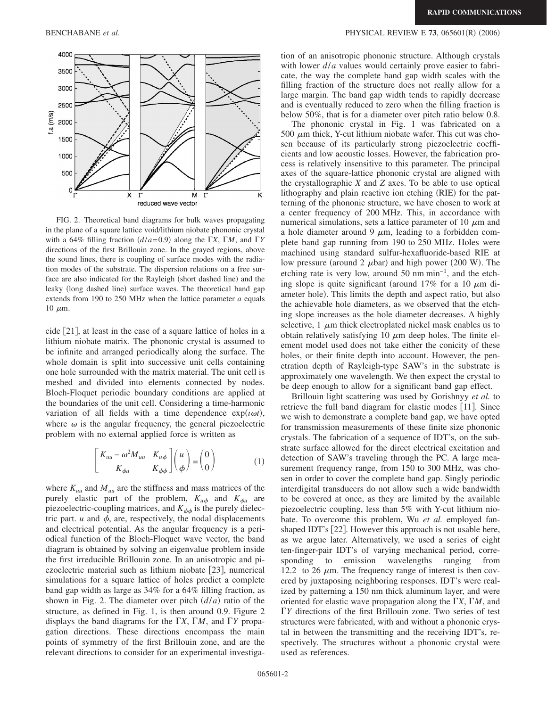

FIG. 2. Theoretical band diagrams for bulk waves propagating in the plane of a square lattice void/lithium niobate phononic crystal with a 64% filling fraction  $(d/a=0.9)$  along the *X*, *M*, and *Y* directions of the first Brillouin zone. In the grayed regions, above the sound lines, there is coupling of surface modes with the radiation modes of the substrate. The dispersion relations on a free surface are also indicated for the Rayleigh (short dashed line) and the leaky (long dashed line) surface waves. The theoretical band gap extends from 190 to 250 MHz when the lattice parameter *a* equals  $10 \mu m$ .

cide 21, at least in the case of a square lattice of holes in a lithium niobate matrix. The phononic crystal is assumed to be infinite and arranged periodically along the surface. The whole domain is split into successive unit cells containing one hole surrounded with the matrix material. The unit cell is meshed and divided into elements connected by nodes. Bloch-Floquet periodic boundary conditions are applied at the boundaries of the unit cell. Considering a time-harmonic variation of all fields with a time dependence  $exp(i\omega t)$ , where  $\omega$  is the angular frequency, the general piezoelectric problem with no external applied force is written as

$$
\begin{bmatrix} K_{uu} - \omega^2 M_{uu} & K_{u\phi} \\ K_{\phi u} & K_{\phi\phi} \end{bmatrix} \begin{pmatrix} u \\ \phi \end{pmatrix} = \begin{pmatrix} 0 \\ 0 \end{pmatrix}
$$
 (1)

where  $K_{uu}$  and  $M_{uu}$  are the stiffness and mass matrices of the purely elastic part of the problem,  $K_{u\phi}$  and  $K_{\phi u}$  are piezoelectric-coupling matrices, and  $K_{\phi\phi}$  is the purely dielectric part.  $u$  and  $\phi$ , are, respectively, the nodal displacements and electrical potential. As the angular frequency is a periodical function of the Bloch-Floquet wave vector, the band diagram is obtained by solving an eigenvalue problem inside the first irreducible Brillouin zone. In an anisotropic and piezoelectric material such as lithium niobate  $[23]$ , numerical simulations for a square lattice of holes predict a complete band gap width as large as 34% for a 64% filling fraction, as shown in Fig. 2. The diameter over pitch  $(d/a)$  ratio of the structure, as defined in Fig. 1, is then around 0.9. Figure 2 displays the band diagrams for the  $\Gamma X$ ,  $\Gamma M$ , and  $\Gamma Y$  propagation directions. These directions encompass the main points of symmetry of the first Brillouin zone, and are the relevant directions to consider for an experimental investiga-

## BENCHABANE *et al.* PHYSICAL REVIEW E **73**, 065601(R) (2006)

tion of an anisotropic phononic structure. Although crystals with lower *d/a* values would certainly prove easier to fabricate, the way the complete band gap width scales with the filling fraction of the structure does not really allow for a large margin. The band gap width tends to rapidly decrease and is eventually reduced to zero when the filling fraction is below 50%, that is for a diameter over pitch ratio below 0.8.

The phononic crystal in Fig. 1 was fabricated on a 500  $\mu$ m thick, Y-cut lithium niobate wafer. This cut was chosen because of its particularly strong piezoelectric coefficients and low acoustic losses. However, the fabrication process is relatively insensitive to this parameter. The principal axes of the square-lattice phononic crystal are aligned with the crystallographic *X* and *Z* axes. To be able to use optical lithography and plain reactive ion etching (RIE) for the patterning of the phononic structure, we have chosen to work at a center frequency of 200 MHz. This, in accordance with numerical simulations, sets a lattice parameter of 10  $\mu$ m and a hole diameter around 9  $\mu$ m, leading to a forbidden complete band gap running from 190 to 250 MHz. Holes were machined using standard sulfur-hexafluoride-based RIE at low pressure (around 2  $\mu$ bar) and high power (200 W). The etching rate is very low, around 50 nm min−1, and the etching slope is quite significant (around  $17\%$  for a 10  $\mu$ m diameter hole). This limits the depth and aspect ratio, but also the achievable hole diameters, as we observed that the etching slope increases as the hole diameter decreases. A highly selective,  $1 \mu m$  thick electroplated nickel mask enables us to obtain relatively satisfying 10  $\mu$ m deep holes. The finite element model used does not take either the conicity of these holes, or their finite depth into account. However, the penetration depth of Rayleigh-type SAW's in the substrate is approximately one wavelength. We then expect the crystal to be deep enough to allow for a significant band gap effect.

Brillouin light scattering was used by Gorishnyy *et al.* to retrieve the full band diagram for elastic modes [11]. Since we wish to demonstrate a complete band gap, we have opted for transmission measurements of these finite size phononic crystals. The fabrication of a sequence of IDT's, on the substrate surface allowed for the direct electrical excitation and detection of SAW's traveling through the PC. A large measurement frequency range, from 150 to 300 MHz, was chosen in order to cover the complete band gap. Singly periodic interdigital transducers do not allow such a wide bandwidth to be covered at once, as they are limited by the available piezoelectric coupling, less than 5% with Y-cut lithium niobate. To overcome this problem, Wu *et al.* employed fanshaped IDT's  $[22]$ . However this approach is not usable here, as we argue later. Alternatively, we used a series of eight ten-finger-pair IDT's of varying mechanical period, corresponding to emission wavelengths ranging from 12.2 to 26  $\mu$ m. The frequency range of interest is then covered by juxtaposing neighboring responses. IDT's were realized by patterning a 150 nm thick aluminum layer, and were oriented for elastic wave propagation along the  $\Gamma X$ ,  $\Gamma M$ , and *Y* directions of the first Brillouin zone. Two series of test structures were fabricated, with and without a phononic crystal in between the transmitting and the receiving IDT's, respectively. The structures without a phononic crystal were used as references.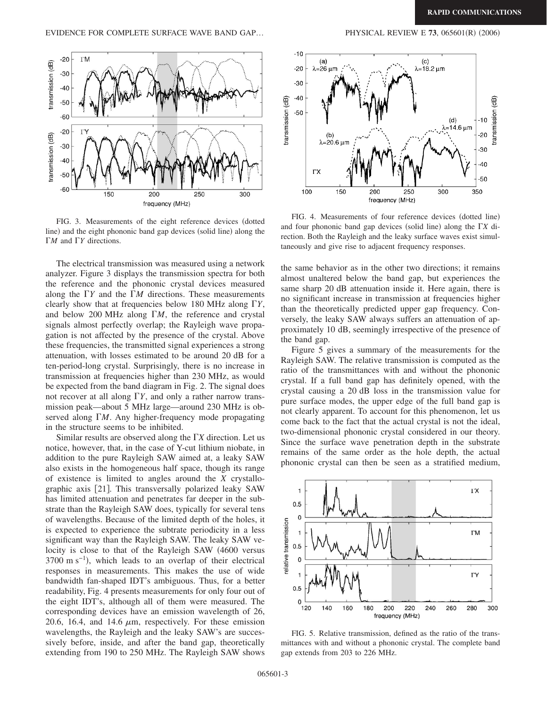

FIG. 3. Measurements of the eight reference devices (dotted line) and the eight phononic band gap devices (solid line) along the *ΓM* and *ΓY* directions.

The electrical transmission was measured using a network analyzer. Figure 3 displays the transmission spectra for both the reference and the phononic crystal devices measured along the  $\Gamma Y$  and the  $\Gamma M$  directions. These measurements clearly show that at frequencies below 180 MHz along *Y*, and below 200 MHz along  $\Gamma M$ , the reference and crystal signals almost perfectly overlap; the Rayleigh wave propagation is not affected by the presence of the crystal. Above these frequencies, the transmitted signal experiences a strong attenuation, with losses estimated to be around 20 dB for a ten-period-long crystal. Surprisingly, there is no increase in transmission at frequencies higher than 230 MHz, as would be expected from the band diagram in Fig. 2. The signal does not recover at all along  $\Gamma Y$ , and only a rather narrow transmission peak—about 5 MHz large—around 230 MHz is observed along *M*. Any higher-frequency mode propagating in the structure seems to be inhibited.

Similar results are observed along the  $\Gamma X$  direction. Let us notice, however, that, in the case of Y-cut lithium niobate, in addition to the pure Rayleigh SAW aimed at, a leaky SAW also exists in the homogeneous half space, though its range of existence is limited to angles around the *X* crystallographic axis [21]. This transversally polarized leaky SAW has limited attenuation and penetrates far deeper in the substrate than the Rayleigh SAW does, typically for several tens of wavelengths. Because of the limited depth of the holes, it is expected to experience the subtrate periodicity in a less significant way than the Rayleigh SAW. The leaky SAW velocity is close to that of the Rayleigh SAW 4600 versus  $3700 \text{ m s}^{-1}$ ), which leads to an overlap of their electrical responses in measurements. This makes the use of wide bandwidth fan-shaped IDT's ambiguous. Thus, for a better readability, Fig. 4 presents measurements for only four out of the eight IDT's, although all of them were measured. The corresponding devices have an emission wavelength of 26, 20.6, 16.4, and 14.6  $\mu$ m, respectively. For these emission wavelengths, the Rayleigh and the leaky SAW's are successively before, inside, and after the band gap, theoretically extending from 190 to 250 MHz. The Rayleigh SAW shows



FIG. 4. Measurements of four reference devices (dotted line) and four phononic band gap devices (solid line) along the  $\Gamma X$  direction. Both the Rayleigh and the leaky surface waves exist simultaneously and give rise to adjacent frequency responses.

the same behavior as in the other two directions; it remains almost unaltered below the band gap, but experiences the same sharp 20 dB attenuation inside it. Here again, there is no significant increase in transmission at frequencies higher than the theoretically predicted upper gap frequency. Conversely, the leaky SAW always suffers an attenuation of approximately 10 dB, seemingly irrespective of the presence of the band gap.

Figure 5 gives a summary of the measurements for the Rayleigh SAW. The relative transmission is computed as the ratio of the transmittances with and without the phononic crystal. If a full band gap has definitely opened, with the crystal causing a 20 dB loss in the transmission value for pure surface modes, the upper edge of the full band gap is not clearly apparent. To account for this phenomenon, let us come back to the fact that the actual crystal is not the ideal, two-dimensional phononic crystal considered in our theory. Since the surface wave penetration depth in the substrate remains of the same order as the hole depth, the actual phononic crystal can then be seen as a stratified medium,



FIG. 5. Relative transmission, defined as the ratio of the transmittances with and without a phononic crystal. The complete band gap extends from 203 to 226 MHz.